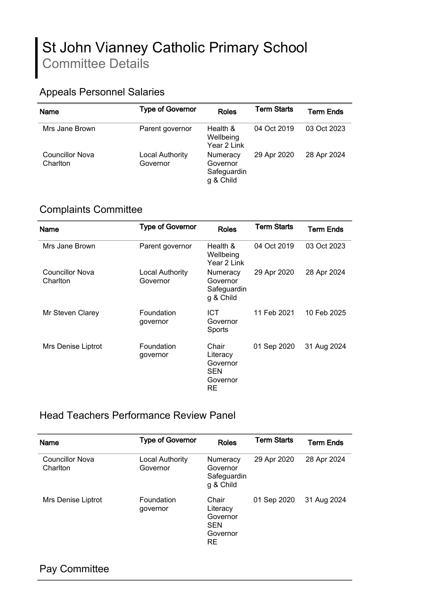# St John Vianney Catholic Primary School Committee Details

## Appeals Personnel Salaries

| <b>Name</b>                        | <b>Type of Governor</b>            | <b>Roles</b>                                     | <b>Term Starts</b> | <b>Term Ends</b> |
|------------------------------------|------------------------------------|--------------------------------------------------|--------------------|------------------|
| Mrs Jane Brown                     | Parent governor                    | Health &<br>Wellbeing<br>Year 2 Link             | 04 Oct 2019        | 03 Oct 2023      |
| <b>Councillor Nova</b><br>Charlton | <b>Local Authority</b><br>Governor | Numeracy<br>Governor<br>Safeguardin<br>g & Child | 29 Apr 2020        | 28 Apr 2024      |

### Complaints Committee

| Name                        | <b>Type of Governor</b>       | <b>Roles</b>                                                         | <b>Term Starts</b> | <b>Term Ends</b> |
|-----------------------------|-------------------------------|----------------------------------------------------------------------|--------------------|------------------|
| Mrs Jane Brown              | Parent governor               | Health &<br>Wellbeing<br>Year 2 Link                                 | 04 Oct 2019        | 03 Oct 2023      |
| Councillor Nova<br>Charlton | Local Authority<br>Governor   | Numeracy<br>Governor<br>Safeguardin<br>g & Child                     | 29 Apr 2020        | 28 Apr 2024      |
| Mr Steven Clarey            | Foundation<br>governor        | <b>ICT</b><br>Governor<br>Sports                                     | 11 Feb 2021        | 10 Feb 2025      |
| Mrs Denise Liptrot          | <b>Foundation</b><br>governor | Chair<br>Literacy<br>Governor<br><b>SEN</b><br>Governor<br><b>RE</b> | 01 Sep 2020        | 31 Aug 2024      |

# Head Teachers Performance Review Panel

| <b>Name</b>                        | <b>Type of Governor</b>            | <b>Roles</b>                                                         | <b>Term Starts</b> | <b>Term Ends</b> |
|------------------------------------|------------------------------------|----------------------------------------------------------------------|--------------------|------------------|
| <b>Councillor Nova</b><br>Charlton | <b>Local Authority</b><br>Governor | Numeracy<br>Governor<br>Safeguardin<br>g & Child                     | 29 Apr 2020        | 28 Apr 2024      |
| Mrs Denise Liptrot                 | Foundation<br>qovernor             | Chair<br>Literacy<br>Governor<br><b>SEN</b><br>Governor<br><b>RE</b> | 01 Sep 2020        | 31 Aug 2024      |

### Pay Committee